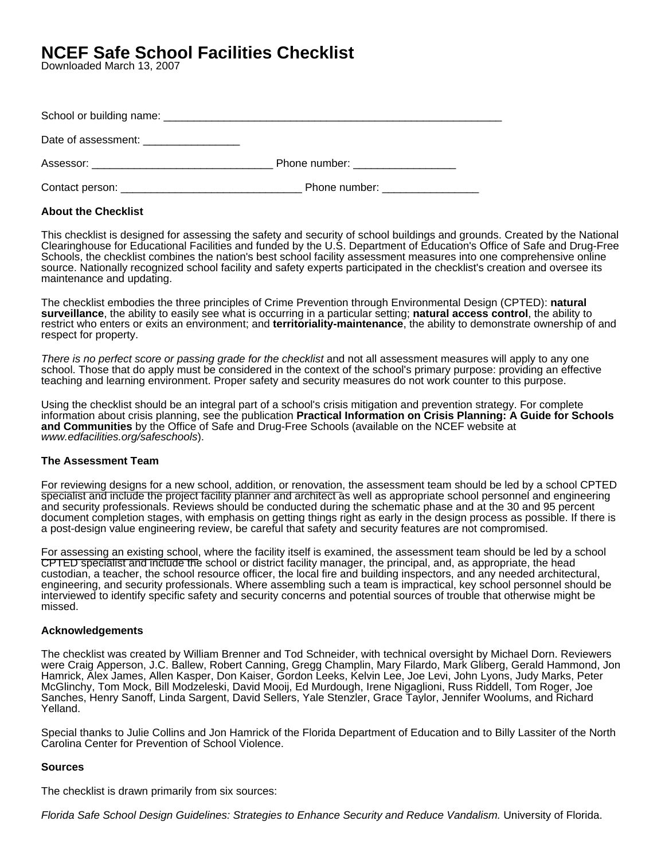# **NCEF Safe School Facilities Checklist**

Downloaded March 13, 2007

| Date of assessment: _________________        |                                                                                                                                                                                                                                |
|----------------------------------------------|--------------------------------------------------------------------------------------------------------------------------------------------------------------------------------------------------------------------------------|
| Assessor: __________________________________ | Phone number: and the state of the state of the state of the state of the state of the state of the state of the state of the state of the state of the state of the state of the state of the state of the state of the state |
| Contact person:                              | Phone number:                                                                                                                                                                                                                  |

## **About the Checklist**

This checklist is designed for assessing the safety and security of school buildings and grounds. Created by the National Clearinghouse for Educational Facilities and funded by the U.S. Department of Education's Office of Safe and Drug-Free Schools, the checklist combines the nation's best school facility assessment measures into one comprehensive online source. Nationally recognized school facility and safety experts participated in the checklist's creation and oversee its maintenance and updating.

The checklist embodies the three principles of Crime Prevention through Environmental Design (CPTED): **natural surveillance**, the ability to easily see what is occurring in a particular setting; **natural access control**, the ability to restrict who enters or exits an environment; and **territoriality-maintenance**, the ability to demonstrate ownership of and respect for property.

There is no perfect score or passing grade for the checklist and not all assessment measures will apply to any one school. Those that do apply must be considered in the context of the school's primary purpose: providing an effective teaching and learning environment. Proper safety and security measures do not work counter to this purpose.

Using the checklist should be an integral part of a school's crisis mitigation and prevention strategy. For complete information about crisis planning, see the publication **Practical Information on Crisis Planning: A Guide for Schools and Communities** by the Office of Safe and Drug-Free Schools (available on the NCEF website at www.edfacilities.org/safeschools).

#### **The Assessment Team**

For reviewing designs for a new school, addition, or renovation, the assessment team should be led by a school CPTED specialist and include the project facility planner and architect as well as appropriate school personnel and engineering and security professionals. Reviews should be conducted during the schematic phase and at the 30 and 95 percent document completion stages, with emphasis on getting things right as early in the design process as possible. If there is a post-design value engineering review, be careful that safety and security features are not compromised.

For assessing an existing school, where the facility itself is examined, the assessment team should be led by a school CPTED specialist and include the school or district facility manager, the principal, and, as appropriate, the head custodian, a teacher, the school resource officer, the local fire and building inspectors, and any needed architectural, engineering, and security professionals. Where assembling such a team is impractical, key school personnel should be interviewed to identify specific safety and security concerns and potential sources of trouble that otherwise might be missed.

#### **Acknowledgements**

The checklist was created by William Brenner and Tod Schneider, with technical oversight by Michael Dorn. Reviewers were Craig Apperson, J.C. Ballew, Robert Canning, Gregg Champlin, Mary Filardo, Mark Gliberg, Gerald Hammond, Jon Hamrick, Alex James, Allen Kasper, Don Kaiser, Gordon Leeks, Kelvin Lee, Joe Levi, John Lyons, Judy Marks, Peter McGlinchy, Tom Mock, Bill Modzeleski, David Mooij, Ed Murdough, Irene Nigaglioni, Russ Riddell, Tom Roger, Joe Sanches, Henry Sanoff, Linda Sargent, David Sellers, Yale Stenzler, Grace Taylor, Jennifer Woolums, and Richard Yelland.

Special thanks to Julie Collins and Jon Hamrick of the Florida Department of Education and to Billy Lassiter of the North Carolina Center for Prevention of School Violence.

#### **Sources**

The checklist is drawn primarily from six sources:

Florida Safe School Design Guidelines: Strategies to Enhance Security and Reduce Vandalism. University of Florida.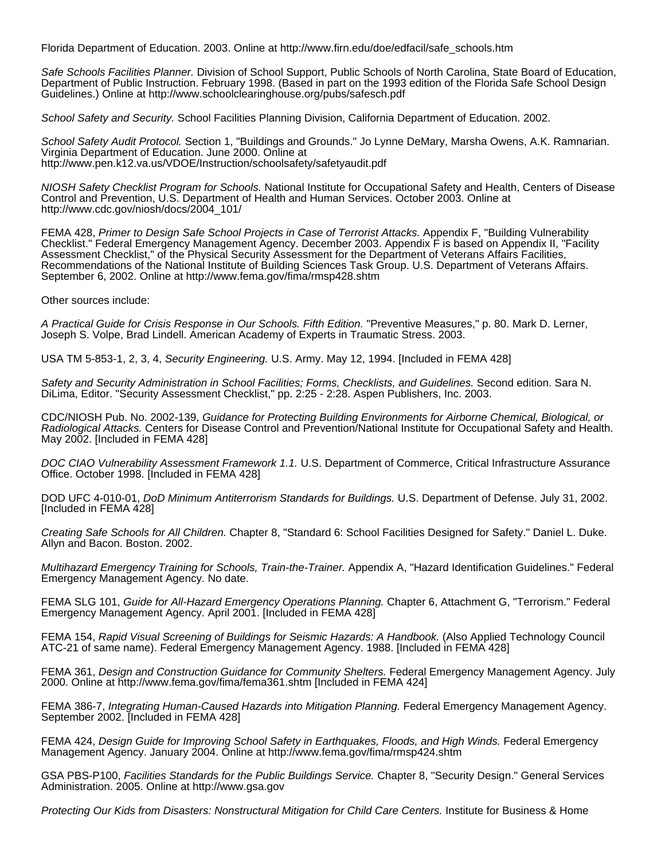Florida Department of Education. 2003. Online at http://www.firn.edu/doe/edfacil/safe\_schools.htm

Safe Schools Facilities Planner. Division of School Support, Public Schools of North Carolina, State Board of Education, Department of Public Instruction. February 1998. (Based in part on the 1993 edition of the Florida Safe School Design Guidelines.) Online at http://www.schoolclearinghouse.org/pubs/safesch.pdf

School Safety and Security. School Facilities Planning Division, California Department of Education. 2002.

School Safety Audit Protocol. Section 1, "Buildings and Grounds." Jo Lynne DeMary, Marsha Owens, A.K. Ramnarian. Virginia Department of Education. June 2000. Online at http://www.pen.k12.va.us/VDOE/Instruction/schoolsafety/safetyaudit.pdf

NIOSH Safety Checklist Program for Schools. National Institute for Occupational Safety and Health, Centers of Disease Control and Prevention, U.S. Department of Health and Human Services. October 2003. Online at http://www.cdc.gov/niosh/docs/2004\_101/

FEMA 428, Primer to Design Safe School Projects in Case of Terrorist Attacks. Appendix F, "Building Vulnerability Checklist." Federal Emergency Management Agency. December 2003. Appendix F is based on Appendix II, "Facility Assessment Checklist," of the Physical Security Assessment for the Department of Veterans Affairs Facilities, Recommendations of the National Institute of Building Sciences Task Group. U.S. Department of Veterans Affairs. September 6, 2002. Online at http://www.fema.gov/fima/rmsp428.shtm

Other sources include:

A Practical Guide for Crisis Response in Our Schools. Fifth Edition. "Preventive Measures," p. 80. Mark D. Lerner, Joseph S. Volpe, Brad Lindell. American Academy of Experts in Traumatic Stress. 2003.

USA TM 5-853-1, 2, 3, 4, Security Engineering. U.S. Army. May 12, 1994. [Included in FEMA 428]

Safety and Security Administration in School Facilities; Forms, Checklists, and Guidelines. Second edition. Sara N. DiLima, Editor. "Security Assessment Checklist," pp. 2:25 - 2:28. Aspen Publishers, Inc. 2003.

CDC/NIOSH Pub. No. 2002-139, Guidance for Protecting Building Environments for Airborne Chemical, Biological, or Radiological Attacks. Centers for Disease Control and Prevention/National Institute for Occupational Safety and Health. May 2002. [Included in FEMA 428]

DOC CIAO Vulnerability Assessment Framework 1.1. U.S. Department of Commerce, Critical Infrastructure Assurance Office. October 1998. [Included in FEMA 428]

DOD UFC 4-010-01, DoD Minimum Antiterrorism Standards for Buildings. U.S. Department of Defense. July 31, 2002. [Included in FEMA 428]

Creating Safe Schools for All Children. Chapter 8, "Standard 6: School Facilities Designed for Safety." Daniel L. Duke. Allyn and Bacon. Boston. 2002.

Multihazard Emergency Training for Schools, Train-the-Trainer. Appendix A, "Hazard Identification Guidelines." Federal Emergency Management Agency. No date.

FEMA SLG 101, Guide for All-Hazard Emergency Operations Planning. Chapter 6, Attachment G, "Terrorism." Federal Emergency Management Agency. April 2001. [Included in FEMA 428]

FEMA 154, Rapid Visual Screening of Buildings for Seismic Hazards: A Handbook. (Also Applied Technology Council ATC-21 of same name). Federal Emergency Management Agency. 1988. [Included in FEMA 428]

FEMA 361, Design and Construction Guidance for Community Shelters. Federal Emergency Management Agency. July 2000. Online at http://www.fema.gov/fima/fema361.shtm [Included in FEMA 424]

FEMA 386-7, Integrating Human-Caused Hazards into Mitigation Planning. Federal Emergency Management Agency. September 2002. [Included in FEMA 428]

FEMA 424, Design Guide for Improving School Safety in Earthquakes, Floods, and High Winds. Federal Emergency Management Agency. January 2004. Online at http://www.fema.gov/fima/rmsp424.shtm

GSA PBS-P100, Facilities Standards for the Public Buildings Service. Chapter 8, "Security Design." General Services Administration. 2005. Online at http://www.gsa.gov

Protecting Our Kids from Disasters: Nonstructural Mitigation for Child Care Centers. Institute for Business & Home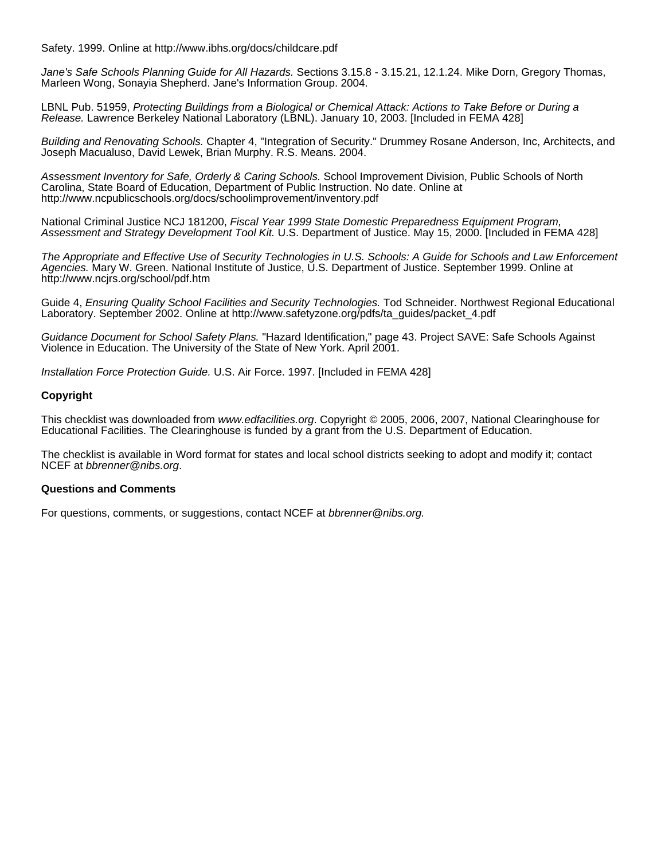Safety. 1999. Online at http://www.ibhs.org/docs/childcare.pdf

Jane's Safe Schools Planning Guide for All Hazards. Sections 3.15.8 - 3.15.21, 12.1.24. Mike Dorn, Gregory Thomas, Marleen Wong, Sonayia Shepherd. Jane's Information Group. 2004.

LBNL Pub. 51959, Protecting Buildings from a Biological or Chemical Attack: Actions to Take Before or During a Release. Lawrence Berkeley National Laboratory (LBNL). January 10, 2003. [Included in FEMA 428]

Building and Renovating Schools. Chapter 4, "Integration of Security." Drummey Rosane Anderson, Inc, Architects, and Joseph Macualuso, David Lewek, Brian Murphy. R.S. Means. 2004.

Assessment Inventory for Safe, Orderly & Caring Schools. School Improvement Division, Public Schools of North Carolina, State Board of Education, Department of Public Instruction. No date. Online at http://www.ncpublicschools.org/docs/schoolimprovement/inventory.pdf

National Criminal Justice NCJ 181200, Fiscal Year 1999 State Domestic Preparedness Equipment Program, Assessment and Strategy Development Tool Kit. U.S. Department of Justice. May 15, 2000. [Included in FEMA 428]

The Appropriate and Effective Use of Security Technologies in U.S. Schools: A Guide for Schools and Law Enforcement Agencies. Mary W. Green. National Institute of Justice, U.S. Department of Justice. September 1999. Online at http://www.ncjrs.org/school/pdf.htm

Guide 4, Ensuring Quality School Facilities and Security Technologies. Tod Schneider. Northwest Regional Educational Laboratory. September 2002. Online at http://www.safetyzone.org/pdfs/ta\_guides/packet\_4.pdf

Guidance Document for School Safety Plans. "Hazard Identification," page 43. Project SAVE: Safe Schools Against Violence in Education. The University of the State of New York. April 2001.

Installation Force Protection Guide. U.S. Air Force. 1997. [Included in FEMA 428]

### **Copyright**

This checklist was downloaded from www.edfacilities.org. Copyright © 2005, 2006, 2007, National Clearinghouse for Educational Facilities. The Clearinghouse is funded by a grant from the U.S. Department of Education.

The checklist is available in Word format for states and local school districts seeking to adopt and modify it; contact NCEF at bbrenner@nibs.org.

#### **Questions and Comments**

For questions, comments, or suggestions, contact NCEF at *bbrenner@nibs.org.*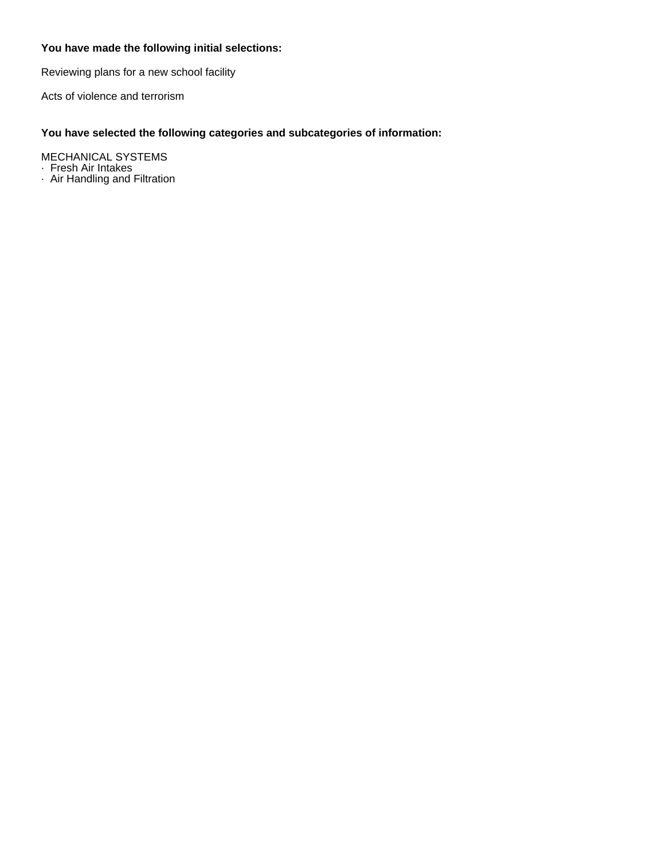# **You have made the following initial selections:**

Reviewing plans for a new school facility

Acts of violence and terrorism

# **You have selected the following categories and subcategories of information:**

MECHANICAL SYSTEMS

· Fresh Air Intakes

· Air Handling and Filtration